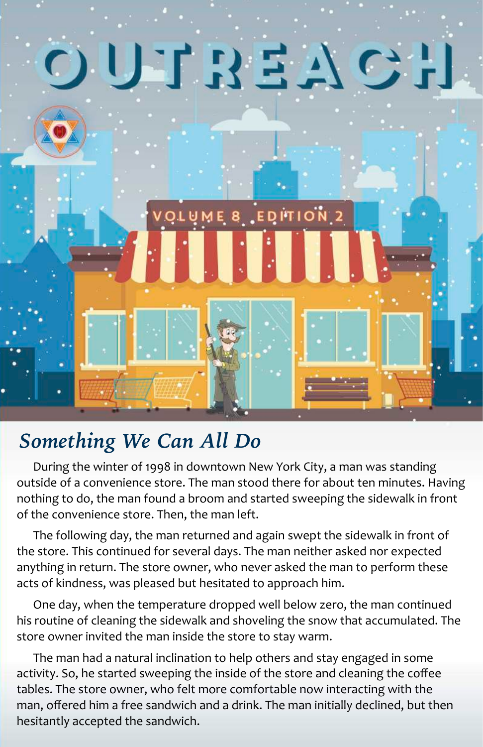

### *Something We Can All Do*

During the winter of 1998 in downtown New York City, a man was standing outside of a convenience store. The man stood there for about ten minutes. Having nothing to do, the man found a broom and started sweeping the sidewalk in front of the convenience store. Then, the man left.

The following day, the man returned and again swept the sidewalk in front of the store. This continued for several days. The man neither asked nor expected anything in return. The store owner, who never asked the man to perform these acts of kindness, was pleased but hesitated to approach him.

One day, when the temperature dropped well below zero, the man continued his routine of cleaning the sidewalk and shoveling the snow that accumulated. The store owner invited the man inside the store to stay warm.

The man had a natural inclination to help others and stay engaged in some activity. So, he started sweeping the inside of the store and cleaning the coffee tables. The store owner, who felt more comfortable now interacting with the man, offered him a free sandwich and a drink. The man initially declined, but then hesitantly accepted the sandwich.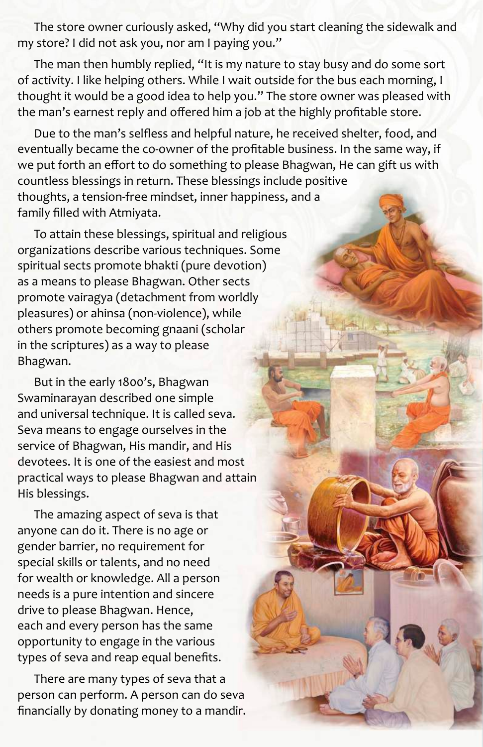The store owner curiously asked, "Why did you start cleaning the sidewalk and my store? I did not ask you, nor am I paying you."

The man then humbly replied, "It is my nature to stay busy and do some sort of activity. I like helping others. While I wait outside for the bus each morning, I thought it would be a good idea to help you." The store owner was pleased with the man's earnest reply and offered him a job at the highly profitable store.

Due to the man's selfless and helpful nature, he received shelter, food, and eventually became the co-owner of the profitable business. In the same way, if we put forth an effort to do something to please Bhagwan, He can gift us with countless blessings in return. These blessings include positive thoughts, a tension-free mindset, inner happiness, and a family filled with Atmiyata.

To attain these blessings, spiritual and religious organizations describe various techniques. Some spiritual sects promote bhakti (pure devotion) as a means to please Bhagwan. Other sects promote vairagya (detachment from worldly pleasures) or ahinsa (non-violence), while others promote becoming gnaani (scholar in the scriptures) as a way to please Bhagwan.

But in the early 1800's, Bhagwan Swaminarayan described one simple and universal technique. It is called seva. Seva means to engage ourselves in the service of Bhagwan, His mandir, and His devotees. It is one of the easiest and most practical ways to please Bhagwan and attain His blessings.

The amazing aspect of seva is that anyone can do it. There is no age or gender barrier, no requirement for special skills or talents, and no need for wealth or knowledge. All a person needs is a pure intention and sincere drive to please Bhagwan. Hence, each and every person has the same opportunity to engage in the various types of seva and reap equal benefits.

There are many types of seva that a person can perform. A person can do seva financially by donating money to a mandir.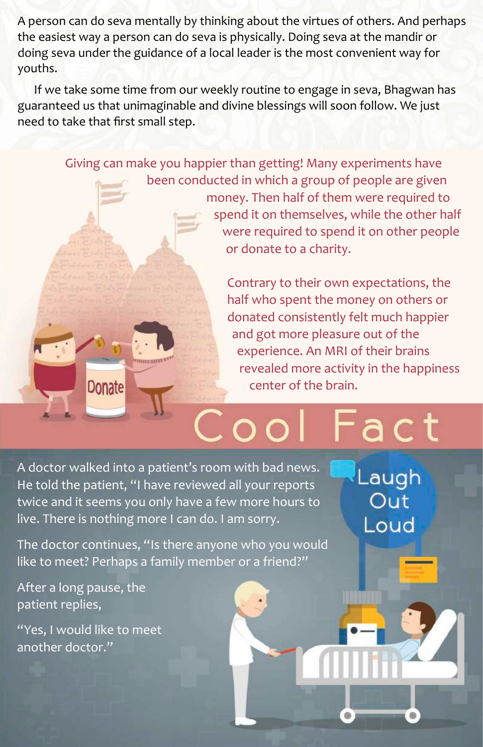A person can do seva mentally by thinking about the virtues of others. And perhaps the easiest way a person can do seva is physically. Doing seva at the mandir or doing seva under the guidance of a local leader is the most convenient way for youths.

If we take some time from our weekly routine to engage in seva, Bhagwan has guaranteed us that unimaginable and divine blessings will soon follow. We just need to take that first small step.

> Giving can make you happier than getting! Many experiments have been conducted in which a group of people are given money. Then half of them were required to spend it on themselves, while the other half were required to spend it on other people or donate to a charity.

> > Contrary to their own expectations, the half who spent the money on others or donated consistently felt much happier and got more pleasure out of the experience. An MRI of their brains revealed more activity in the happiness center of the brain.

# act

Laugh Out

Loud

A doctor walked into a patient's room with bad news. He told the patient, "I have reviewed all your reports twice and it seems you only have a few more hours to live. There is nothing more I can do. I am sorry.

The doctor continues, "Is there anyone who you would like to meet? Perhaps a family member or a friend?"

After a long pause, the patient replies,

**Donate** 

"Yes, I would like to meet another doctor."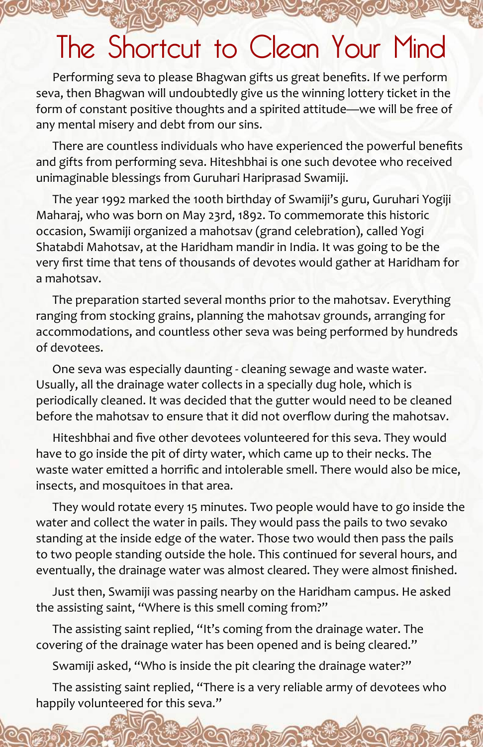### The Shortcut to Clean Your Mind

Performing seva to please Bhagwan gifts us great benefits. If we perform seva, then Bhagwan will undoubtedly give us the winning lottery ticket in the form of constant positive thoughts and a spirited attitude—we will be free of any mental misery and debt from our sins.

There are countless individuals who have experienced the powerful benefits and gifts from performing seva. Hiteshbhai is one such devotee who received unimaginable blessings from Guruhari Hariprasad Swamiji.

The year 1992 marked the 100th birthday of Swamiji's guru, Guruhari Yogiji Maharaj, who was born on May 23rd, 1892. To commemorate this historic occasion, Swamiji organized a mahotsav (grand celebration), called Yogi Shatabdi Mahotsav, at the Haridham mandir in India. It was going to be the very first time that tens of thousands of devotes would gather at Haridham for a mahotsav.

The preparation started several months prior to the mahotsav. Everything ranging from stocking grains, planning the mahotsav grounds, arranging for accommodations, and countless other seva was being performed by hundreds of devotees.

One seva was especially daunting - cleaning sewage and waste water. Usually, all the drainage water collects in a specially dug hole, which is periodically cleaned. It was decided that the gutter would need to be cleaned before the mahotsav to ensure that it did not overflow during the mahotsav.

Hiteshbhai and five other devotees volunteered for this seva. They would have to go inside the pit of dirty water, which came up to their necks. The waste water emitted a horrific and intolerable smell. There would also be mice, insects, and mosquitoes in that area.

They would rotate every 15 minutes. Two people would have to go inside the water and collect the water in pails. They would pass the pails to two sevako standing at the inside edge of the water. Those two would then pass the pails to two people standing outside the hole. This continued for several hours, and eventually, the drainage water was almost cleared. They were almost finished.

Just then, Swamiji was passing nearby on the Haridham campus. He asked the assisting saint, "Where is this smell coming from?"

The assisting saint replied, "It's coming from the drainage water. The covering of the drainage water has been opened and is being cleared."

Swamiji asked, "Who is inside the pit clearing the drainage water?"

The assisting saint replied, "There is a very reliable army of devotees who happily volunteered for this seva."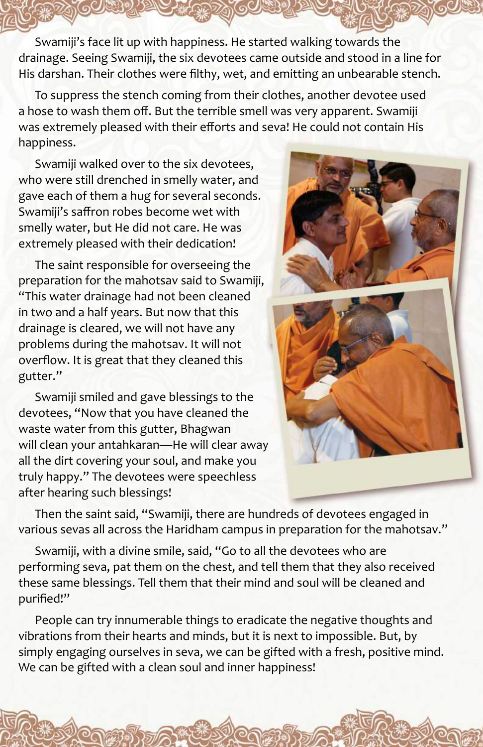Swamiji's face lit up with happiness. He started walking towards the drainage. Seeing Swamiji, the six devotees came outside and stood in a line for His darshan. Their clothes were filthy, wet, and emitting an unbearable stench.

To suppress the stench coming from their clothes, another devotee used a hose to wash them off. But the terrible smell was very apparent. Swamiji was extremely pleased with their efforts and seva! He could not contain His happiness.

Swamiji walked over to the six devotees. who were still drenched in smelly water, and gave each of them a hug for several seconds. Swamiji's saffron robes become wet with smelly water, but He did not care. He was extremely pleased with their dedication!

The saint responsible for overseeing the preparation for the mahotsav said to Swamiji, "This water drainage had not been cleaned in two and a half years. But now that this drainage is cleared, we will not have any problems during the mahotsav. It will not overflow. It is great that they cleaned this gutter."

Swamiji smiled and gave blessings to the devotees, "Now that you have cleaned the waste water from this gutter, Bhagwan will clean your antahkaran—He will clear away all the dirt covering your soul, and make you truly happy." The devotees were speechless after hearing such blessings!



Then the saint said, "Swamiji, there are hundreds of devotees engaged in various sevas all across the Haridham campus in preparation for the mahotsav."

Swamiji, with a divine smile, said, "Go to all the devotees who are performing seva, pat them on the chest, and tell them that they also received these same blessings. Tell them that their mind and soul will be cleaned and purified!"

People can try innumerable things to eradicate the negative thoughts and vibrations from their hearts and minds, but it is next to impossible. But, by simply engaging ourselves in seva, we can be gifted with a fresh, positive mind. We can be gifted with a clean soul and inner happiness!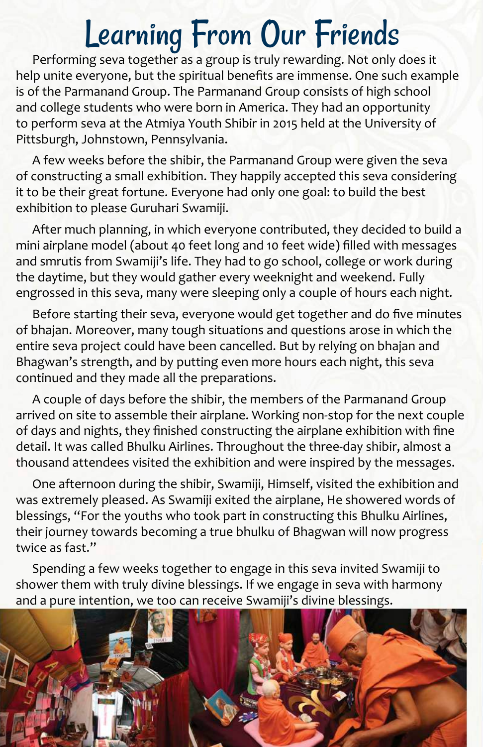### Learning From Our Friends

Performing seva together as a group is truly rewarding. Not only does it help unite everyone, but the spiritual benefits are immense. One such example is of the Parmanand Group. The Parmanand Group consists of high school and college students who were born in America. They had an opportunity to perform seva at the Atmiya Youth Shibir in 2015 held at the University of Pittsburgh, Johnstown, Pennsylvania.

A few weeks before the shibir, the Parmanand Group were given the seva of constructing a small exhibition. They happily accepted this seva considering it to be their great fortune. Everyone had only one goal: to build the best exhibition to please Guruhari Swamiji.

After much planning, in which everyone contributed, they decided to build a mini airplane model (about 40 feet long and 10 feet wide) filled with messages and smrutis from Swamiji's life. They had to go school, college or work during the daytime, but they would gather every weeknight and weekend. Fully engrossed in this seva, many were sleeping only a couple of hours each night.

Before starting their seva, everyone would get together and do five minutes of bhajan. Moreover, many tough situations and questions arose in which the entire seva project could have been cancelled. But by relying on bhajan and Bhagwan's strength, and by putting even more hours each night, this seva continued and they made all the preparations.

A couple of days before the shibir, the members of the Parmanand Group arrived on site to assemble their airplane. Working non-stop for the next couple of days and nights, they finished constructing the airplane exhibition with fine detail. It was called Bhulku Airlines. Throughout the three-day shibir, almost a thousand attendees visited the exhibition and were inspired by the messages.

One afternoon during the shibir, Swamiji, Himself, visited the exhibition and was extremely pleased. As Swamiji exited the airplane, He showered words of blessings, "For the youths who took part in constructing this Bhulku Airlines, their journey towards becoming a true bhulku of Bhagwan will now progress twice as fast."

Spending a few weeks together to engage in this seva invited Swamiji to shower them with truly divine blessings. If we engage in seva with harmony and a pure intention, we too can receive Swamiji's divine blessings.

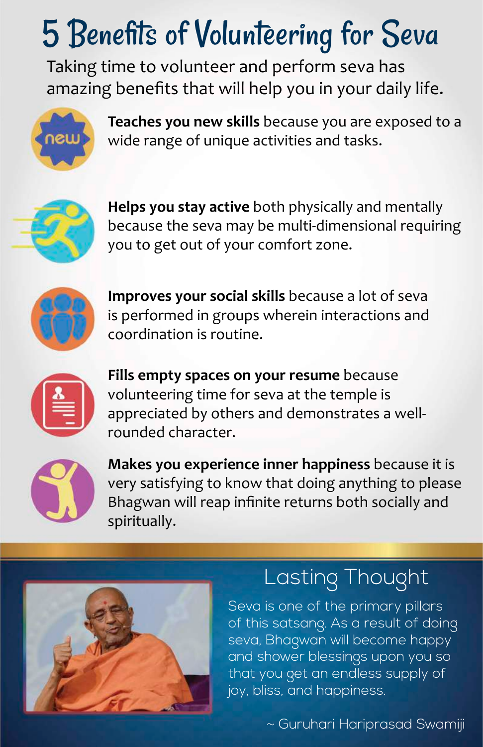# 5 Benefits of Volunteering for Seva

Taking time to volunteer and perform seva has amazing benefits that will help you in your daily life.



**Teaches you new skills** because you are exposed to a wide range of unique activities and tasks.



**Helps you stay active** both physically and mentally because the seva may be multi-dimensional requiring you to get out of your comfort zone.



**Improves your social skills** because a lot of seva is performed in groups wherein interactions and coordination is routine.



**Fills empty spaces on your resume** because volunteering time for seva at the temple is appreciated by others and demonstrates a wellrounded character.



**Makes you experience inner happiness** because it is very satisfying to know that doing anything to please Bhagwan will reap infinite returns both socially and spiritually.



### Lasting Thought

Seva is one of the primary pillars of this satsang. As a result of doing seva, Bhagwan will become happy and shower blessings upon you so that you get an endless supply of joy, bliss, and happiness.